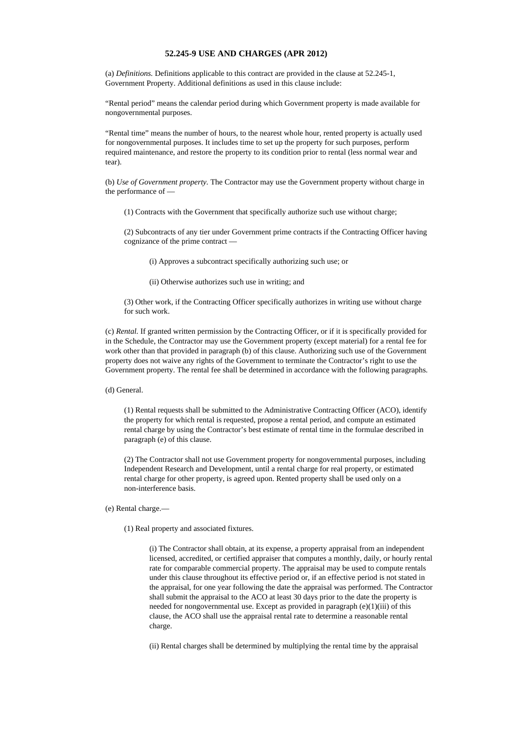## **52.245-9 USE AND CHARGES (APR 2012)**

(a) *Definitions.* Definitions applicable to this contract are provided in the clause at 52.245-1, Government Property. Additional definitions as used in this clause include:

"Rental period" means the calendar period during which Government property is made available for nongovernmental purposes.

"Rental time" means the number of hours, to the nearest whole hour, rented property is actually used for nongovernmental purposes. It includes time to set up the property for such purposes, perform required maintenance, and restore the property to its condition prior to rental (less normal wear and tear).

(b) *Use of Government property.* The Contractor may use the Government property without charge in the performance of —

(1) Contracts with the Government that specifically authorize such use without charge;

(2) Subcontracts of any tier under Government prime contracts if the Contracting Officer having cognizance of the prime contract —

(i) Approves a subcontract specifically authorizing such use; or

(ii) Otherwise authorizes such use in writing; and

(3) Other work, if the Contracting Officer specifically authorizes in writing use without charge for such work.

(c) *Rental.* If granted written permission by the Contracting Officer, or if it is specifically provided for in the Schedule, the Contractor may use the Government property (except material) for a rental fee for work other than that provided in paragraph (b) of this clause. Authorizing such use of the Government property does not waive any rights of the Government to terminate the Contractor's right to use the Government property. The rental fee shall be determined in accordance with the following paragraphs.

(d) General.

(1) Rental requests shall be submitted to the Administrative Contracting Officer (ACO), identify the property for which rental is requested, propose a rental period, and compute an estimated rental charge by using the Contractor's best estimate of rental time in the formulae described in paragraph (e) of this clause.

(2) The Contractor shall not use Government property for nongovernmental purposes, including Independent Research and Development, until a rental charge for real property, or estimated rental charge for other property, is agreed upon. Rented property shall be used only on a non-interference basis.

(e) Rental charge.—

(1) Real property and associated fixtures.

(i) The Contractor shall obtain, at its expense, a property appraisal from an independent licensed, accredited, or certified appraiser that computes a monthly, daily, or hourly rental rate for comparable commercial property. The appraisal may be used to compute rentals under this clause throughout its effective period or, if an effective period is not stated in the appraisal, for one year following the date the appraisal was performed. The Contractor shall submit the appraisal to the ACO at least 30 days prior to the date the property is needed for nongovernmental use. Except as provided in paragraph  $(e)(1)(iii)$  of this clause, the ACO shall use the appraisal rental rate to determine a reasonable rental charge.

(ii) Rental charges shall be determined by multiplying the rental time by the appraisal